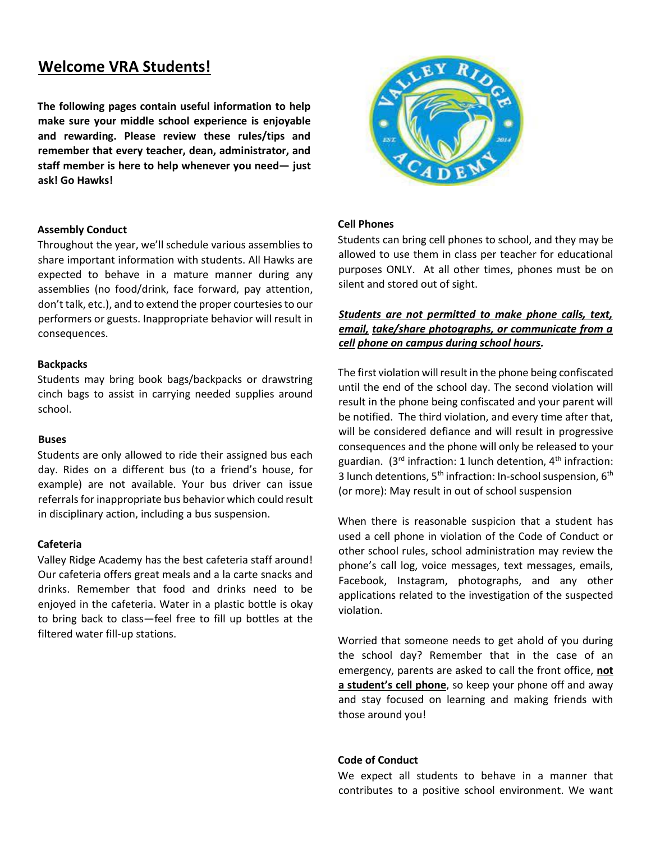# **Welcome VRA Students!**

**The following pages contain useful information to help make sure your middle school experience is enjoyable and rewarding. Please review these rules/tips and remember that every teacher, dean, administrator, and staff member is here to help whenever you need— just ask! Go Hawks!** 



#### **Assembly Conduct**

Throughout the year, we'll schedule various assemblies to share important information with students. All Hawks are expected to behave in a mature manner during any assemblies (no food/drink, face forward, pay attention, don't talk, etc.), and to extend the proper courtesies to our performers or guests. Inappropriate behavior will result in consequences.

#### **Backpacks**

Students may bring book bags/backpacks or drawstring cinch bags to assist in carrying needed supplies around school.

#### **Buses**

Students are only allowed to ride their assigned bus each day. Rides on a different bus (to a friend's house, for example) are not available. Your bus driver can issue referrals for inappropriate bus behavior which could result in disciplinary action, including a bus suspension.

## **Cafeteria**

Valley Ridge Academy has the best cafeteria staff around! Our cafeteria offers great meals and a la carte snacks and drinks. Remember that food and drinks need to be enjoyed in the cafeteria. Water in a plastic bottle is okay to bring back to class—feel free to fill up bottles at the filtered water fill-up stations.

## **Cell Phones**

Students can bring cell phones to school, and they may be allowed to use them in class per teacher for educational purposes ONLY. At all other times, phones must be on silent and stored out of sight.

# *Students are not permitted to make phone calls, text, email, take/share photographs, or communicate from a cell phone on campus during school hours.*

The first violation will result in the phone being confiscated until the end of the school day. The second violation will result in the phone being confiscated and your parent will be notified. The third violation, and every time after that, will be considered defiance and will result in progressive consequences and the phone will only be released to your guardian.  $(3^{rd}$  infraction: 1 lunch detention,  $4^{th}$  infraction: 3 lunch detentions, 5<sup>th</sup> infraction: In-school suspension, 6<sup>th</sup> (or more): May result in out of school suspension

When there is reasonable suspicion that a student has used a cell phone in violation of the Code of Conduct or other school rules, school administration may review the phone's call log, voice messages, text messages, emails, Facebook, Instagram, photographs, and any other applications related to the investigation of the suspected violation.

Worried that someone needs to get ahold of you during the school day? Remember that in the case of an emergency, parents are asked to call the front office, **not a student's cell phone**, so keep your phone off and away and stay focused on learning and making friends with those around you!

## **Code of Conduct**

We expect all students to behave in a manner that contributes to a positive school environment. We want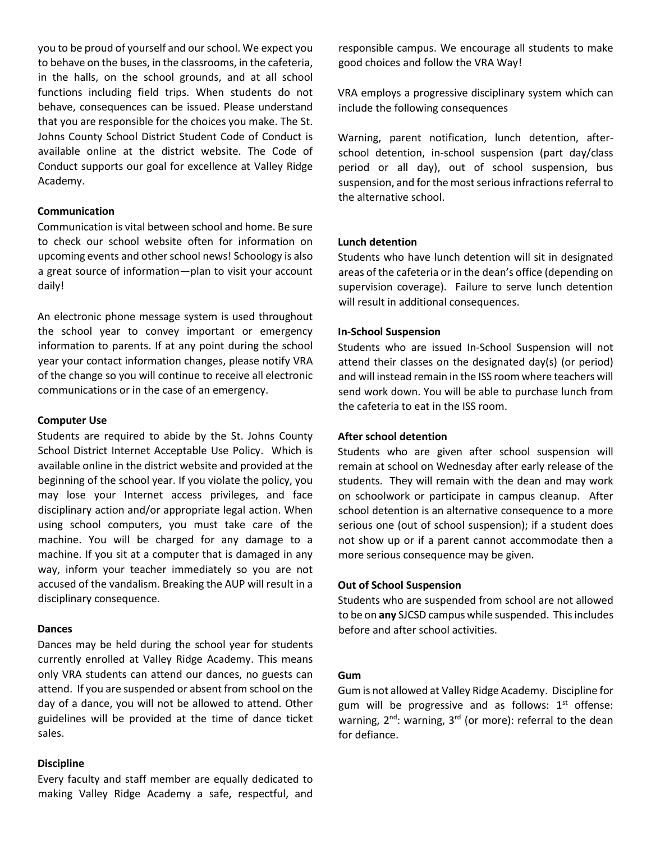you to be proud of yourself and our school. We expect you to behave on the buses, in the classrooms, in the cafeteria, in the halls, on the school grounds, and at all school functions including field trips. When students do not behave, consequences can be issued. Please understand that you are responsible for the choices you make. The St. Johns County School District Student Code of Conduct is available online at the district website. The Code of Conduct supports our goal for excellence at Valley Ridge Academy.

## **Communication**

Communication is vital between school and home. Be sure to check our school website often for information on upcoming events and other school news! Schoology is also a great source of information—plan to visit your account daily!

An electronic phone message system is used throughout the school year to convey important or emergency information to parents. If at any point during the school year your contact information changes, please notify VRA of the change so you will continue to receive all electronic communications or in the case of an emergency.

#### **Computer Use**

Students are required to abide by the St. Johns County School District Internet Acceptable Use Policy. Which is available online in the district website and provided at the beginning of the school year. If you violate the policy, you may lose your Internet access privileges, and face disciplinary action and/or appropriate legal action. When using school computers, you must take care of the machine. You will be charged for any damage to a machine. If you sit at a computer that is damaged in any way, inform your teacher immediately so you are not accused of the vandalism. Breaking the AUP will result in a disciplinary consequence.

#### **Dances**

Dances may be held during the school year for students currently enrolled at Valley Ridge Academy. This means only VRA students can attend our dances, no guests can attend. If you are suspended or absent from school on the day of a dance, you will not be allowed to attend. Other guidelines will be provided at the time of dance ticket sales.

#### **Discipline**

Every faculty and staff member are equally dedicated to making Valley Ridge Academy a safe, respectful, and responsible campus. We encourage all students to make good choices and follow the VRA Way!

VRA employs a progressive disciplinary system which can include the following consequences

Warning, parent notification, lunch detention, afterschool detention, in-school suspension (part day/class period or all day), out of school suspension, bus suspension, and for the most serious infractions referral to the alternative school.

## **Lunch detention**

Students who have lunch detention will sit in designated areas of the cafeteria or in the dean's office (depending on supervision coverage). Failure to serve lunch detention will result in additional consequences.

#### **In-School Suspension**

Students who are issued In-School Suspension will not attend their classes on the designated day(s) (or period) and will instead remain in the ISS room where teachers will send work down. You will be able to purchase lunch from the cafeteria to eat in the ISS room.

#### **After school detention**

Students who are given after school suspension will remain at school on Wednesday after early release of the students. They will remain with the dean and may work on schoolwork or participate in campus cleanup. After school detention is an alternative consequence to a more serious one (out of school suspension); if a student does not show up or if a parent cannot accommodate then a more serious consequence may be given.

#### **Out of School Suspension**

Students who are suspended from school are not allowed to be on **any** SJCSD campus while suspended. This includes before and after school activities.

#### **Gum**

Gum is not allowed at Valley Ridge Academy. Discipline for gum will be progressive and as follows:  $1<sup>st</sup>$  offense: warning, 2<sup>nd</sup>: warning, 3<sup>rd</sup> (or more): referral to the dean for defiance.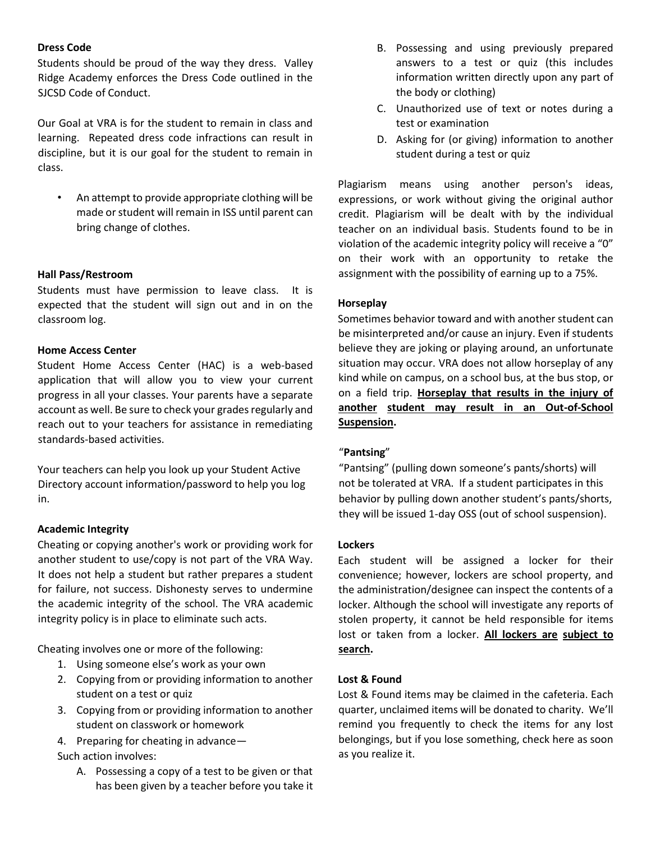## **Dress Code**

Students should be proud of the way they dress. Valley Ridge Academy enforces the Dress Code outlined in the SJCSD Code of Conduct.

Our Goal at VRA is for the student to remain in class and learning. Repeated dress code infractions can result in discipline, but it is our goal for the student to remain in class.

• An attempt to provide appropriate clothing will be made or student will remain in ISS until parent can bring change of clothes.

# **Hall Pass/Restroom**

Students must have permission to leave class. It is expected that the student will sign out and in on the classroom log.

## **Home Access Center**

Student Home Access Center (HAC) is a web-based application that will allow you to view your current progress in all your classes. Your parents have a separate account as well. Be sure to check your grades regularly and reach out to your teachers for assistance in remediating standards-based activities.

Your teachers can help you look up your Student Active Directory account information/password to help you log in.

## **Academic Integrity**

Cheating or copying another's work or providing work for another student to use/copy is not part of the VRA Way. It does not help a student but rather prepares a student for failure, not success. Dishonesty serves to undermine the academic integrity of the school. The VRA academic integrity policy is in place to eliminate such acts.

Cheating involves one or more of the following:

- 1. Using someone else's work as your own
- 2. Copying from or providing information to another student on a test or quiz
- 3. Copying from or providing information to another student on classwork or homework
- 4. Preparing for cheating in advance— Such action involves:
	- A. Possessing a copy of a test to be given or that has been given by a teacher before you take it
- B. Possessing and using previously prepared answers to a test or quiz (this includes information written directly upon any part of the body or clothing)
- C. Unauthorized use of text or notes during a test or examination
- D. Asking for (or giving) information to another student during a test or quiz

Plagiarism means using another person's ideas, expressions, or work without giving the original author credit. Plagiarism will be dealt with by the individual teacher on an individual basis. Students found to be in violation of the academic integrity policy will receive a "0" on their work with an opportunity to retake the assignment with the possibility of earning up to a 75%.

## **Horseplay**

Sometimes behavior toward and with another student can be misinterpreted and/or cause an injury. Even if students believe they are joking or playing around, an unfortunate situation may occur. VRA does not allow horseplay of any kind while on campus, on a school bus, at the bus stop, or on a field trip. **Horseplay that results in the injury of another student may result in an Out-of-School Suspension.**

## "**Pantsing**"

"Pantsing" (pulling down someone's pants/shorts) will not be tolerated at VRA. If a student participates in this behavior by pulling down another student's pants/shorts, they will be issued 1-day OSS (out of school suspension).

## **Lockers**

Each student will be assigned a locker for their convenience; however, lockers are school property, and the administration/designee can inspect the contents of a locker. Although the school will investigate any reports of stolen property, it cannot be held responsible for items lost or taken from a locker. **All lockers are subject to search.** 

#### **Lost & Found**

Lost & Found items may be claimed in the cafeteria. Each quarter, unclaimed items will be donated to charity. We'll remind you frequently to check the items for any lost belongings, but if you lose something, check here as soon as you realize it.